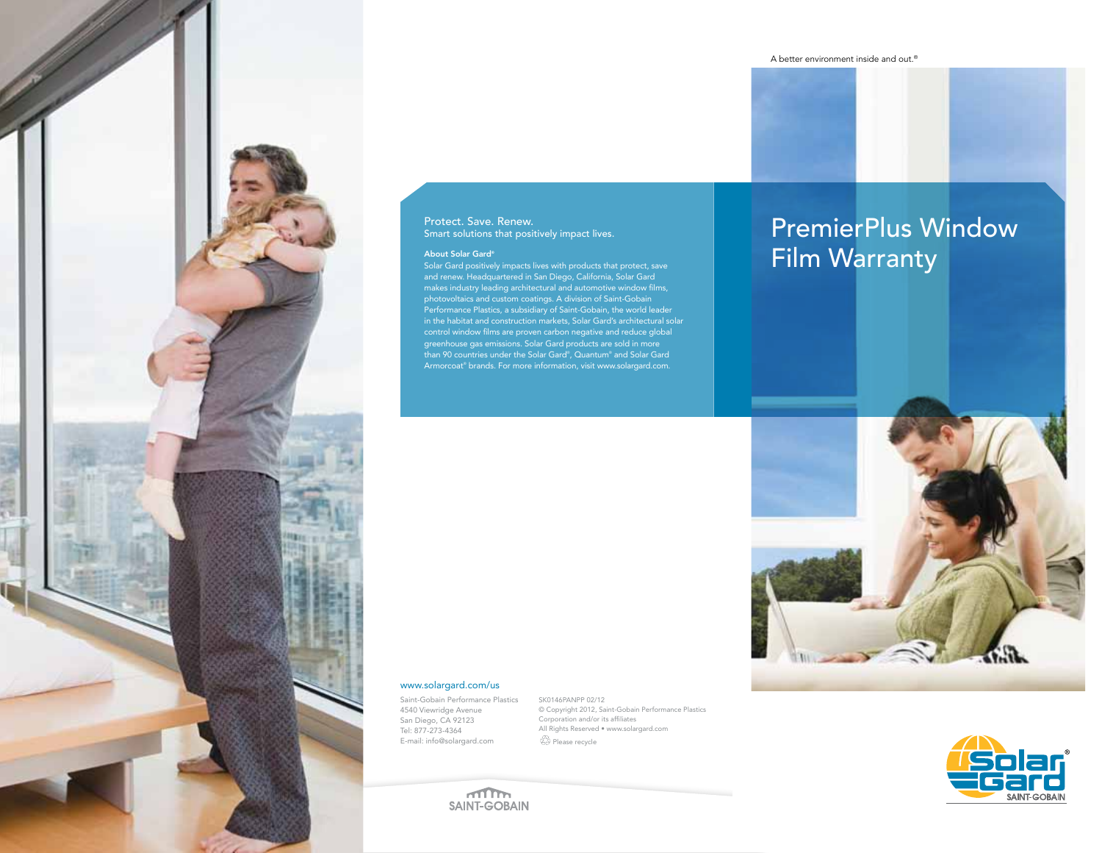

### Protect. Save. Renew. Smart solutions that positively impact lives.

and renew. Headquartered in San Diego, California, Solar Gard makes industry leading architectural and automotive window films, photovoltaics and custom coatings. A division of Saint-Gobain Performance Plastics, a subsidiary of Saint-Gobain, the world leader in the habitat and construction markets, Solar Gard's architectural solar control window films are proven carbon negative and reduce global greenhouse gas emissions. Solar Gard products are sold in more than 90 countries under the Solar Gard® , Quantum® and Solar Gard Armorcoat® brands. For more information, visit www.solargard.com.

# PremierPlus Window About Solar Gard®<br>Solar Gard positively impacts lives with products that protect, save<br> **Film Warranty**

## www.solargard.com/us

Saint-Gobain Performance Plastics 4540 Viewridge Avenue San Diego, CA 92123 Tel: 877-273-4364 E-mail: info@solargard.com

SK0146PANPP 02/12 © Copyright 2012, Saint-Gobain Performance Plastics Corporation and/or its affiliates All Rights Reserved • www.solargard.com Please recycle



 $m_{\rm m}$ **SAINT-GOBAIN**